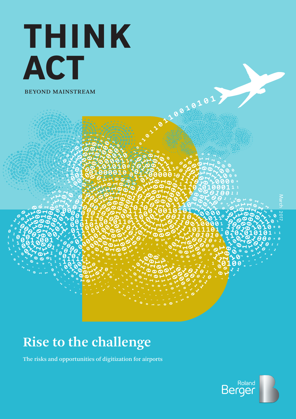# THINK ACT BEYOND MAINSTREAM

**Rise to the challenge** 

The risks and opportunities of digitization for airports<br>————————————————————



March 2017

220210101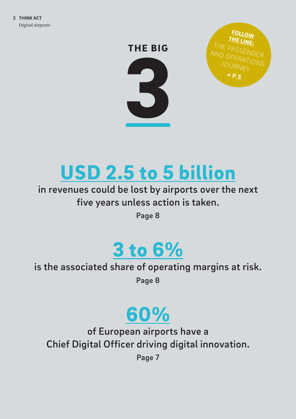



# USD 2.5 to 5 billion

## in revenues could be lost by airports over the next five years unless action is taken.

Page 8

# 3 to 6%

## is the associated share of operating margins at risk.

Page 8

# 60%

of European airports have a Chief Digital Officer driving digital innovation.

Page 7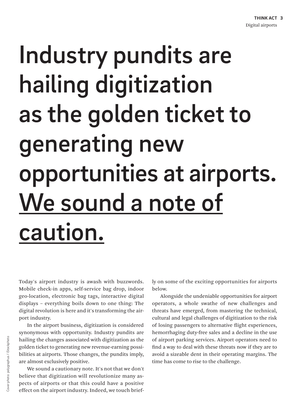# Industry pundits are hailing digitization as the golden ticket to generating new opportunities at airports. We sound a note of caution.

Today's airport industry is awash with buzzwords. Mobile check-in apps, self-service bag drop, indoor geo-location, electronic bag tags, interactive digital displays – everything boils down to one thing: The digital revolution is here and it's transforming the airport industry.

In the airport business, digitization is considered synonymous with opportunity. Industry pundits are hailing the changes associated with digitization as the golden ticket to generating new revenue-earning possibilities at airports. Those changes, the pundits imply, are almost exclusively positive.

We sound a cautionary note. It's not that we don't believe that digitization will revolutionize many aspects of airports or that this could have a positive effect on the airport industry. Indeed, we touch briefly on some of the exciting opportunities for airports below.

Alongside the undeniable opportunities for airport operators, a whole swathe of new challenges and threats have emerged, from mastering the technical, cultural and legal challenges of digitization to the risk of losing passengers to alternative flight experiences, hemorrhaging duty-free sales and a decline in the use of airport parking services. Airport operators need to find a way to deal with these threats now if they are to avoid a sizeable dent in their operating margins. The time has come to rise to the challenge.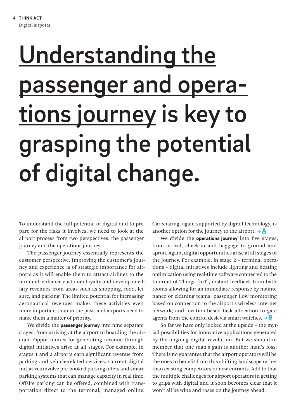# <span id="page-3-0"></span>Understanding the passenger and operations journey is key to grasping the potential of digital change.

To understand the full potential of digital and to prepare for the risks it involves, we need to look at the airport process from two perspectives: the passenger journey and the operations journey.

The passenger journey essentially represents the customer perspective. Improving the customer's journey and experience is of strategic importance for airports as it will enable them to attract airlines to the terminal, enhance customer loyalty and develop ancillary revenues from areas such as shopping, food, leisure, and parking. The limited potential for increasing aeronautical revenues makes these activities even more important than in the past, and airports need to make them a matter of priority.

We divide the **passenger journey** into nine separate stages, from arriving at the airport to boarding the aircraft. Opportunities for generating revenue through digital initiatives arise at all stages. For example, in stages 1 and 2 airports earn significant revenue from parking and vehicle-related services. Current digital initiatives involve pre-booked parking offers and smart parking systems that can manage capacity in real time. Offsite parking can be offered, combined with transportation direct to the terminal, managed online. Car-sharing, again supported by digital technology, is another option for the journey to the airport.  $\rightarrow \mathbf{A}$ 

We divide the operations journey into five stages, from arrival, check-in and baggage to ground and apron. Again, digital opportunities arise at all stages of the journey. For example, in stage 2 – terminal operations – digital initiatives include lighting and heating optimization using real-time software connected to the Internet of Things (IoT), instant feedback from bathrooms allowing for an immediate response by maintenance or cleaning teams, passenger flow monitoring based on connection to the airport's wireless Internet network, and location-based task allocation to gate agents from the control desk via smart watches.  $\rightarrow$  **B** 

So far we have only looked at the upside – the myriad possibilities for innovative applications generated by the ongoing digital revolution. But we should remember that one man's gain is another man's loss: There is no guarantee that the airport operators will be the ones to benefit from this shifting landscape rather than existing competitors or new entrants. Add to that the multiple challenges for airport operators in getting to grips with digital and it soon becomes clear that it won't all be wine and roses on the journey ahead.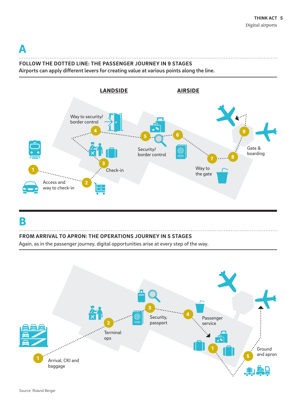$\blacktriangle$ 

## **FOLLOW THE DOTTED LINE: THE PASSENGER JOURNEY IN 9 STAGES**

Airports can apply different levers for creating value at various points along the line.



### [B](#page-3-0)

#### **FROM ARRIVAL TO APRON: THE OPERATIONS JOURNEY IN 5 STAGES**

Again, as in the passenger journey, digital opportunities arise at every step of the way.

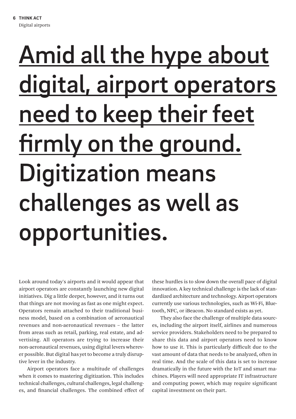# Amid all the hype about digital, airport operators need to keep their feet firmly on the ground. Digitization means challenges as well as opportunities.

Look around today's airports and it would appear that airport operators are constantly launching new digital initiatives. Dig a little deeper, however, and it turns out that things are not moving as fast as one might expect. Operators remain attached to their traditional business model, based on a combination of aeronautical revenues and non-aeronautical revenues – the latter from areas such as retail, parking, real estate, and advertising. All operators are trying to increase their non-aeronautical revenues, using digital levers wherever possible. But digital has yet to become a truly disruptive lever in the industry.

Airport operators face a multitude of challenges when it comes to mastering digitization. This includes technical challenges, cultural challenges, legal challenges, and financial challenges. The combined effect of these hurdles is to slow down the overall pace of digital innovation. A key technical challenge is the lack of standardized architecture and technology. Airport operators currently use various technologies, such as Wi-Fi, Bluetooth, NFC, or iBeacon. No standard exists as yet.

They also face the challenge of multiple data sources, including the airport itself, airlines and numerous service providers. Stakeholders need to be prepared to share this data and airport operators need to know how to use it. This is particularly difficult due to the vast amount of data that needs to be analyzed, often in real time. And the scale of this data is set to increase dramatically in the future with the IoT and smart machines. Players will need appropriate IT infrastructure and computing power, which may require significant capital investment on their part.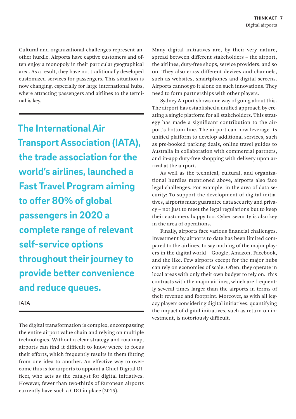Cultural and organizational challenges represent another hurdle. Airports have captive customers and often enjoy a monopoly in their particular geographical area. As a result, they have not traditionally developed customized services for passengers. This situation is now changing, especially for large international hubs, where attracting passengers and airlines to the terminal is key.

**The International Air Transport Association (IATA), the trade association for the world's airlines, launched a Fast Travel Program aiming to offer 80% of global passengers in 2020 a complete range of relevant self-service options throughout their journey to provide better convenience and reduce queues.**

IATA

The digital transformation is complex, encompassing the entire airport value chain and relying on multiple technologies. Without a clear strategy and roadmap, airports can find it difficult to know where to focus their efforts, which frequently results in them flitting from one idea to another. An effective way to overcome this is for airports to appoint a Chief Digital Officer, who acts as the catalyst for digital initiatives. However, fewer than two-thirds of European airports currently have such a CDO in place (2015).

Many digital initiatives are, by their very nature, spread between different stakeholders – the airport, the airlines, duty-free shops, service providers, and so on. They also cross different devices and channels, such as websites, smartphones and digital screens. Airports cannot go it alone on such innovations. They need to form partnerships with other players.

Sydney Airport shows one way of going about this. The airport has established a unified approach by creating a single platform for all stakeholders. This strategy has made a significant contribution to the airport's bottom line. The airport can now leverage its unified platform to develop additional services, such as pre-booked parking deals, online travel guides to Australia in collaboration with commercial partners, and in-app duty-free shopping with delivery upon arrival at the airport.

As well as the technical, cultural, and organizational hurdles mentioned above, airports also face legal challenges. For example, in the area of data security: To support the development of digital initiatives, airports must guarantee data security and privacy – not just to meet the legal regulations but to keep their customers happy too. Cyber security is also key in the area of operations.

Finally, airports face various financial challenges. Investment by airports to date has been limited compared to the airlines, to say nothing of the major players in the digital world – Google, Amazon, Facebook, and the like. Few airports except for the major hubs can rely on economies of scale. Often, they operate in local areas with only their own budget to rely on. This contrasts with the major airlines, which are frequently several times larger than the airports in terms of their revenue and footprint. Moreover, as with all legacy players considering digital initiatives, quantifying the impact of digital initiatives, such as return on investment, is notoriously difficult.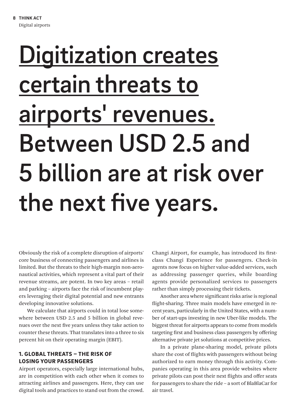# **Digitization creates** certain threats to airports' revenues. Between USD 2.5 and 5 billion are at risk over the next five years.

Obviously the risk of a complete disruption of airports' core business of connecting passengers and airlines is limited. But the threats to their high-margin non-aeronautical activities, which represent a vital part of their revenue streams, are potent. In two key areas – retail and parking – airports face the risk of incumbent players leveraging their digital potential and new entrants developing innovative solutions.

We calculate that airports could in total lose somewhere between USD 2.5 and 5 billion in global revenues over the next five years unless they take action to counter these threats. That translates into a three to six percent hit on their operating margin (EBIT).

#### 1. GLOBAL THREATS – THE RISK OF LOSING YOUR PASSENGERS

Airport operators, especially large international hubs, are in competition with each other when it comes to attracting airlines and passengers. Here, they can use digital tools and practices to stand out from the crowd.

Changi Airport, for example, has introduced its firstclass Changi Experience for passengers. Check-in agents now focus on higher value-added services, such as addressing passenger queries, while boarding agents provide personalized services to passengers rather than simply processing their tickets.

Another area where significant risks arise is regional flight-sharing. Three main models have emerged in recent years, particularly in the United States, with a number of start-ups investing in new Uber-like models. The biggest threat for airports appears to come from models targeting first and business class passengers by offering alternative private jet solutions at competitive prices.

In a private plane-sharing model, private pilots share the cost of flights with passengers without being authorized to earn money through this activity. Companies operating in this area provide websites where private pilots can post their next flights and offer seats for passengers to share the ride – a sort of BlaBlaCar for air travel.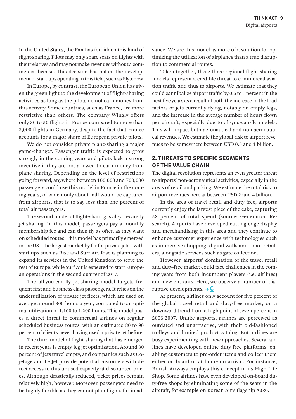<span id="page-8-0"></span>In the United States, the FAA has forbidden this kind of flight-sharing. Pilots may only share seats on flights with their relatives and may not make revenues without a commercial license. This decision has halted the development of start-ups operating in this field, such as Flytenow.

In Europe, by contrast, the European Union has given the green light to the development of flight-sharing activities as long as the pilots do not earn money from this activity. Some countries, such as France, are more restrictive than others: The company Wingly offers only 30 to 50 flights in France compared to more than 3,000 flights in Germany, despite the fact that France accounts for a major share of European private pilots.

We do not consider private plane-sharing a major game-changer. Passenger traffic is expected to grow strongly in the coming years and pilots lack a strong incentive if they are not allowed to earn money from plane-sharing. Depending on the level of restrictions going forward, anywhere between 100,000 and 700,000 passengers could use this model in France in the coming years, of which only about half would be captured from airports, that is to say less than one percent of total air passengers.

The second model of flight-sharing is all-you-can-fly jet-sharing. In this model, passengers pay a monthly membership fee and can then fly as often as they want on scheduled routes. This model has primarily emerged in the US – the largest market by far for private jets – with start-ups such as Rise and Surf Air. Rise is planning to expand its services in the United Kingdom to serve the rest of Europe, while Surf Air is expected to start European operations in the second quarter of 2017.

The all-you-can-fly jet-sharing model targets frequent first and business class passengers. It relies on the underutilization of private jet fleets, which are used on average around 300 hours a year, compared to an optimal utilization of 1,100 to 1,200 hours. This model poses a direct threat to commercial airlines on regular scheduled business routes, with an estimated 80 to 90 percent of clients never having used a private jet before.

The third model of flight-sharing that has emerged in recent years is empty-leg jet optimization. Around 30 percent of jets travel empty, and companies such as Cojetage and Le Jet provide potential customers with direct access to this unused capacity at discounted prices. Although drastically reduced, ticket prices remain relatively high, however. Moreover, passengers need to be highly flexible as they cannot plan flights far in advance. We see this model as more of a solution for optimizing the utilization of airplanes than a true disruption to commercial routes.

Taken together, these three regional flight-sharing models represent a credible threat to commercial aviation traffic and thus to airports. We estimate that they could cannibalize airport traffic by 0.5 to 1 percent in the next five years as a result of both the increase in the load factors of jets currently flying, notably on empty legs, and the increase in the average number of hours flown per aircraft, especially due to all-you-can-fly models. This will impact both aeronautical and non-aeronautical revenues. We estimate the global risk to airport revenues to be somewhere between USD 0.5 and 1 billion.

#### 2. THREATS TO SPECIFIC SEGMENTS OF THE VALUE CHAIN

The digital revolution represents an even greater threat to airports' non-aeronautical activities, especially in the areas of retail and parking. We estimate the total risk to airport revenues here at between USD 2 and 4 billion.

In the area of travel retail and duty free, airports currently enjoy the largest piece of the cake, capturing 58 percent of total spend (source: Generation Research). Airports have developed cutting-edge display and merchandising in this area and they continue to enhance customer experience with technologies such as immersive shopping, digital walls and robot retailers, alongside services such as gate collection.

However, airports' domination of the travel retail and duty-free market could face challenges in the coming years from both incumbent players (i.e. airlines) and new entrants. Here, we observe a number of disruptive developments.  $\rightarrow$  C

At present, airlines only account for five percent of the global travel retail and duty-free market, on a downward trend from a high point of seven percent in 2006-2007. Unlike airports, airlines are perceived as outdated and unattractive, with their old-fashioned trolleys and limited product catalog. But airlines are busy experimenting with new approaches. Several airlines have developed online duty-free platforms, enabling customers to pre-order items and collect them either on board or at home on arrival. For instance, British Airways employs this concept in its High Life Shop. Some airlines have even developed on-board duty-free shops by eliminating some of the seats in the aircraft, for example on Korean Air's flagship A380.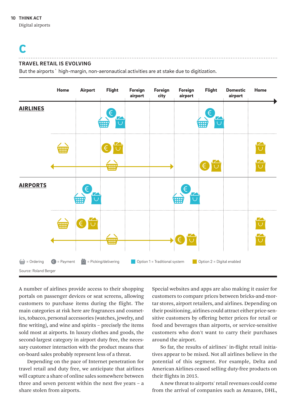Digital airports

## [C](#page-8-0)

#### **TRAVEL RETAIL IS EVOLVING**

But the airports` high-margin, non-aeronautical activities are at stake due to digitization.



A number of airlines provide access to their shopping portals on passenger devices or seat screens, allowing customers to purchase items during the flight. The main categories at risk here are fragrances and cosmetics, tobacco, personal accessories (watches, jewelry, and fine writing), and wine and spirits – precisely the items sold most at airports. In luxury clothes and goods, the second-largest category in airport duty free, the necessary customer interaction with the product means that on-board sales probably represent less of a threat.

Depending on the pace of Internet penetration for travel retail and duty free, we anticipate that airlines will capture a share of online sales somewhere between three and seven percent within the next five years – a share stolen from airports.

Special websites and apps are also making it easier for customers to compare prices between bricks-and-mortar stores, airport retailers, and airlines. Depending on their positioning, airlines could attract either price-sensitive customers by offering better prices for retail or food and beverages than airports, or service-sensitive customers who don't want to carry their purchases around the airport.

So far, the results of airlines' in-flight retail initiatives appear to be mixed. Not all airlines believe in the potential of this segment. For example, Delta and American Airlines ceased selling duty-free products on their flights in 2015.

A new threat to airports' retail revenues could come from the arrival of companies such as Amazon, DHL,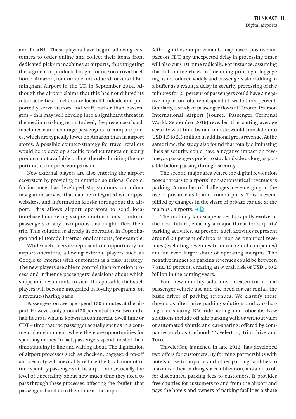<span id="page-10-0"></span>and PostNL. These players have begun allowing customers to order online and collect their items from dedicated pick-up machines at airports, thus targeting the segment of products bought for use on arrival back home. Amazon, for example, introduced lockers at Birmingham Airport in the UK in September 2014. Although the airport claims that this has not diluted its retail activities – lockers are located landside and purportedly serve visitors and staff, rather than passengers – this may well develop into a significant threat in the medium to long term. Indeed, the presence of such machines can encourage passengers to compare prices, which are typically lower on Amazon than in airport stores. A possible counter-strategy for travel retailers would be to develop specific product ranges or luxury products not available online, thereby limiting the opportunities for price comparison.

New external players are also entering the airport ecosystem by providing orientation solutions. Google, for instance, has developed MapsIndoors, an indoor navigation service that can be integrated with apps, websites, and information kiosks throughout the airport. This allows airport operators to send location-based marketing via push notifications or inform passengers of any disruptions that might affect their trip. This solution is already in operation in Copenhagen and El Dorado international airports, for example.

While such a service represents an opportunity for airport operators, allowing external players such as Google to interact with customers is a risky strategy. The new players are able to control the promotion process and influence passengers' decisions about which shops and restaurants to visit. It is possible that such players will become integrated in loyalty programs, on a revenue-sharing basis.

Passengers on average spend 150 minutes at the airport. However, only around 20 percent of these two and a half hours is what is known as commercial dwell time or CDT – time that the passenger actually spends in a commercial environment, where there are opportunities for spending money. In fact, passengers spend most of their time standing in line and waiting about. The digitization of airport processes such as check-in, baggage drop-off and security will inevitably reduce the total amount of time spent by passengers at the airport and, crucially, the level of uncertainty about how much time they need to pass through these processes, affecting the "buffer" that passengers build in to their time at the airport.

Although these improvements may have a positive impact on CDT, any unexpected delay in processing times will also cut CDT time radically. For instance, assuming that full online check-in (including printing a luggage tag) is introduced widely and passengers stop adding in a buffer as a result, a delay in security processing of five minutes for 25 percent of passengers could have a negative impact on total retail spend of two to three percent. Similarly, a study of passenger flows at Toronto Pearson International Airport (source: Passenger Terminal World, September 2016) revealed that cutting average security wait time by one minute would translate into USD 1.5 to 2.3 million in additional gross revenue. At the same time, the study also found that totally eliminating lines at security could have a negative impact on revenue, as passengers prefer to stay landside as long as possible before passing through security.

The second major area where the digital revolution poses threats to airports' non-aeronautical revenues is parking. A number of challenges are emerging in the use of private cars to and from airports. This is exemplified by changes in the share of private car use at the main UK airports.  $\rightarrow$  D

The mobility landscape is set to rapidly evolve in the near future, creating a major threat for airports' parking activities. At present, such activities represent around 20 percent of airports' non aeronautical revenues (excluding revenues from car rental companies) and an even larger share of operating margins. The negative impact on parking revenues could be between 7 and 15 percent, creating an overall risk of USD 1 to 2 billion in the coming years.

Four new mobility solutions threaten traditional passenger vehicle use and the need for car rental, the basic driver of parking revenues. We classify these threats as alternative parking solutions and car-sharing, ride-sharing, B2C ride hailing, and robocabs. New solutions include off-site parking with or without valet or automated shuttle and car-sharing, offered by companies such as Carhood, TravelerCar, Tripndrive and Turo.

TravelerCar, launched in late 2012, has developed two offers for customers. By forming partnerships with hotels close to airports and other parking facilities to maximize their parking space utilization, it is able to offer discounted parking fees to customers. It provides free shuttles for customers to and from the airport and pays the hotels and owners of parking facilities a share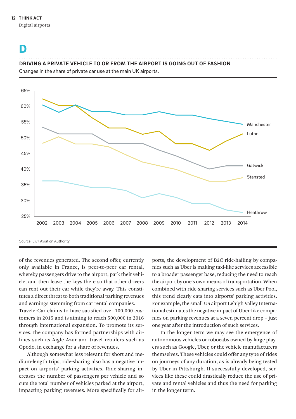#### **THINK ACT 12**

Digital airports

### [D](#page-10-0)

#### **DRIVING A PRIVATE VEHICLE TO OR FROM THE AIRPORT IS GOING OUT OF FASHION**

Changes in the share of private car use at the main UK airports.



Source: Civil Aviation Authority

of the revenues generated. The second offer, currently only available in France, is peer-to-peer car rental, whereby passengers drive to the airport, park their vehicle, and then leave the keys there so that other drivers can rent out their car while they're away. This constitutes a direct threat to both traditional parking revenues and earnings stemming from car rental companies.

TravelerCar claims to have satisfied over 100,000 customers in 2015 and is aiming to reach 500,000 in 2016 through international expansion. To promote its services, the company has formed partnerships with airlines such as Aigle Azur and travel retailers such as Opodo, in exchange for a share of revenues.

Although somewhat less relevant for short and medium-length trips, ride-sharing also has a negative impact on airports' parking activities. Ride-sharing increases the number of passengers per vehicle and so cuts the total number of vehicles parked at the airport, impacting parking revenues. More specifically for airports, the development of B2C ride-hailing by companies such as Uber is making taxi-like services accessible to a broader passenger base, reducing the need to reach the airport by one's own means of transportation. When combined with ride-sharing services such as Uber Pool, this trend clearly eats into airports' parking activities. For example, the small US airport Lehigh Valley International estimates the negative impact of Uber-like companies on parking revenues at a seven percent drop – just one year after the introduction of such services.

In the longer term we may see the emergence of autonomous vehicles or robocabs owned by large players such as Google, Uber, or the vehicle manufacturers themselves. These vehicles could offer any type of rides on journeys of any duration, as is already being tested by Uber in Pittsburgh. If successfully developed, services like these could drastically reduce the use of private and rental vehicles and thus the need for parking in the longer term.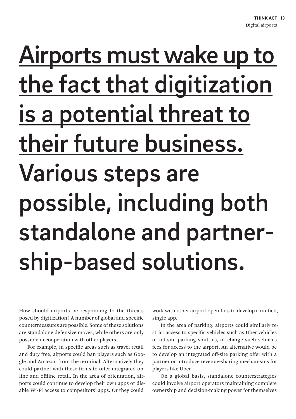# Airports must wake up to the fact that digitization is a potential threat to their future business. Various steps are possible, including both standalone and partnership-based solutions.

How should airports be responding to the threats posed by digitization? A number of global and specific countermeasures are possible. Some of these solutions are standalone defensive moves, while others are only possible in cooperation with other players.

For example, in specific areas such as travel retail and duty free, airports could ban players such as Google and Amazon from the terminal. Alternatively they could partner with these firms to offer integrated online and offline retail. In the area of orientation, airports could continue to develop their own apps or disable Wi-Fi access to competitors' apps. Or they could

work with other airport operators to develop a unified, single app.

In the area of parking, airports could similarly restrict access to specific vehicles such as Uber vehicles or off-site parking shuttles, or charge such vehicles fees for access to the airport. An alternative would be to develop an integrated off-site parking offer with a partner or introduce revenue-sharing mechanisms for players like Uber.

On a global basis, standalone counterstrategies could involve airport operators maintaining complete ownership and decision-making power for themselves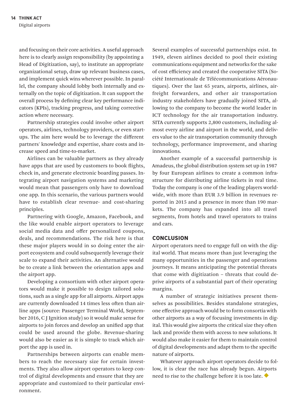and focusing on their core activities. A useful approach here is to clearly assign responsibility (by appointing a Head of Digitization, say), to institute an appropriate organizational setup, draw up relevant business cases, and implement quick wins wherever possible. In parallel, the company should lobby both internally and externally on the topic of digitization. It can support the overall process by defining clear key performance indicators (KPIs), tracking progress, and taking corrective action where necessary.

Partnership strategies could involve other airport operators, airlines, technology providers, or even startups. The aim here would be to leverage the different partners' knowledge and expertise, share costs and increase speed and time-to-market.

Airlines can be valuable partners as they already have apps that are used by customers to book flights, check in, and generate electronic boarding passes. Integrating airport navigation systems and marketing would mean that passengers only have to download one app. In this scenario, the various partners would have to establish clear revenue- and cost-sharing principles.

Partnering with Google, Amazon, Facebook, and the like would enable airport operators to leverage social media data and offer personalized coupons, deals, and recommendations. The risk here is that these major players would in so doing enter the airport ecosystem and could subsequently leverage their scale to expand their activities. An alternative would be to create a link between the orientation apps and the airport app.

Developing a consortium with other airport operators would make it possible to design tailored solutions, such as a single app for all airports. Airport apps are currently downloaded 14 times less often than airline apps (source: Passenger Terminal World, September 2016, C J Ignition study) so it would make sense for airports to join forces and develop an unified app that could be used around the globe. Revenue-sharing would also be easier as it is simple to track which airport the app is used in.

Partnerships between airports can enable members to reach the necessary size for certain investments. They also allow airport operators to keep control of digital developments and ensure that they are appropriate and customized to their particular environment.

Several examples of successful partnerships exist. In 1949, eleven airlines decided to pool their existing communications equipment and networks for the sake of cost efficiency and created the cooperative SITA (Société Internationale de Télécommunications Aéronautiques). Over the last 65 years, airports, airlines, airfreight forwarders, and other air transportation industry stakeholders have gradually joined SITA, allowing to the company to become the world leader in ICT technology for the air transportation industry. SITA currently supports 2,800 customers, including almost every airline and airport in the world, and delivers value to the air transportation community through technology, performance improvement, and sharing innovations.

Another example of a successful partnership is Amadeus, the global distribution system set up in 1987 by four European airlines to create a common infrastructure for distributing airline tickets in real time. Today the company is one of the leading players worldwide, with more than EUR 3.9 billion in revenues reported in 2015 and a presence in more than 190 markets. The company has expanded into all travel segments, from hotels and travel operators to trains and cars.

#### **CONCLUSION**

Airport operators need to engage full on with the digital world. That means more than just leveraging the many opportunities in the passenger and operations journeys. It means anticipating the potential threats that come with digitization – threats that could deprive airports of a substantial part of their operating margins.

A number of strategic initiatives present themselves as possibilities. Besides standalone strategies, one effective approach would be to form consortia with other airports as a way of focusing investments in digital. This would give airports the critical size they often lack and provide them with access to new solutions. It would also make it easier for them to maintain control of digital developments and adapt them to the specific nature of airports.

Whatever approach airport operators decide to follow, it is clear the race has already begun. Airports need to rise to the challenge before it is too late.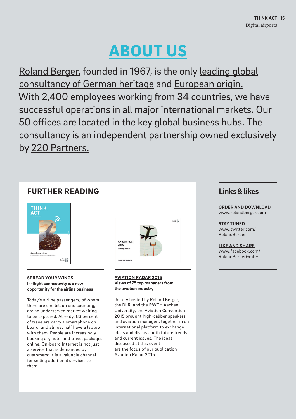## ABOUT US

Roland Berger, founded in 1967, is the only leading global consultancy of German heritage and European origin. With 2,400 employees working from 34 countries, we have successful operations in all major international markets. Our 50 offices are located in the key global business hubs. The consultancy is an independent partnership owned exclusively by 220 Partners.

### **FURTHER READING Links & likes**



**SPREAD YOUR WINGS In-flight connectivity is a new opportunity for the airline business**

Today's airline passengers, of whom there are one billion and counting, are an underserved market waiting to be captured. Already, 83 percent of travelers carry a smartphone on board, and almost half have a laptop with them. People are increasingly booking air, hotel and travel packages online. On-board Internet is not just a service that is demanded by customers: It is a valuable channel for selling additional services to them.



**AVIATION RADAR 2015 Views of 75 top managers from the aviation industry**

Jointly hosted by Roland Berger, the DLR, and the RWTH Aachen University, the Aviation Convention 2015 brought high-caliber speakers and aviation managers together in an international platform to exchange ideas and discuss both future trends and current issues. The ideas discussed at this event are the focus of our publication Aviation Radar 2015.

**ORDER AND DOWNLOAD** [www.rolandberger.com](https://www.rolandberger.com)

**STAY TUNED** [www.twitter.com/](https://twitter.com/RolandBerger) [RolandBerger](https://twitter.com/RolandBerger)

**LIKE AND SHARE** [www.facebook.com/](https://www.facebook.com/RolandBergerGmbH) [RolandBerger](https://www.facebook.com/RolandBergerGmbH)GmbH